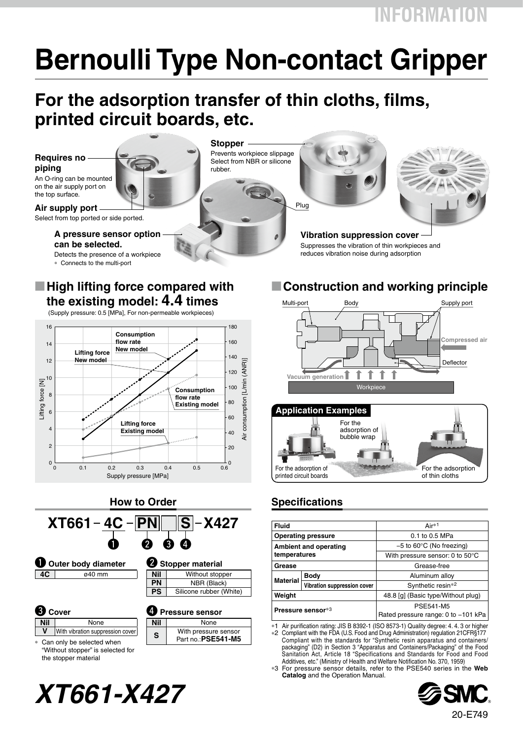**INFORMATION**

# **Bernoulli Type Non-contact Gripper**

### **For the adsorption transfer of thin cloths, films, printed circuit boards, etc.**

**Stopper**

rubber.

Prevents workpiece slippage

**Requires no piping** An O-ring can be mounted

on the air supply port on the top surface.

**Air supply port** Select from top ported or side ported.

> **A pressure sensor option can be selected.**

#### Detects the presence of a workpiece

∗ Connects to the multi-port

#### **M** High lifting force compared with **the existing model: 4.4 times**

(Supply pressure: 0.5 [MPa], For non-permeable workpieces)





the stopper material

# Select from NBR or silicone

Plug



**Vibration suppression cover** Suppresses the vibration of thin workpieces and reduces vibration noise during adsorption

### **E** Construction and working principle





#### **How to Order Specifications**

| <b>Fluid</b>                 |                             | Air*1                                                   |
|------------------------------|-----------------------------|---------------------------------------------------------|
| <b>Operating pressure</b>    |                             | 0.1 to 0.5 MPa                                          |
| <b>Ambient and operating</b> |                             | $-5$ to 60 $\degree$ C (No freezing)                    |
| temperatures                 |                             | With pressure sensor: 0 to $50^{\circ}$ C               |
| Grease                       |                             | Grease-free                                             |
| <b>Material</b>              | <b>Body</b>                 | Aluminum alloy                                          |
|                              | Vibration suppression cover | Synthetic resin <sup>*2</sup>                           |
| Weight                       |                             | 48.8 [g] (Basic type/Without plug)                      |
| Pressure sensor*3            |                             | <b>PSE541-M5</b><br>Rated pressure range: 0 to -101 kPa |

∗1 Air purification rating: JIS B 8392-1 (ISO 8573-1) Quality degree: 4. 4. 3 or higher ∗2 Compliant with the FDA (U.S. Food and Drug Administration) regulation 21CFR§177 Compliant with the standards for "Synthetic resin apparatus and containers/ packaging" (D2) in Section 3 "Apparatus and Containers/Packaging" of the Food Sanitation Act, Article 18 "Specifications and Standards for Food and Food

Additives, etc." (Ministry of Health and Welfare Notification No. 370, 1959) ∗3 For pressure sensor details, refer to the PSE540 series in the **Web Catalog** and the Operation Manual.



# *XT661-X427*